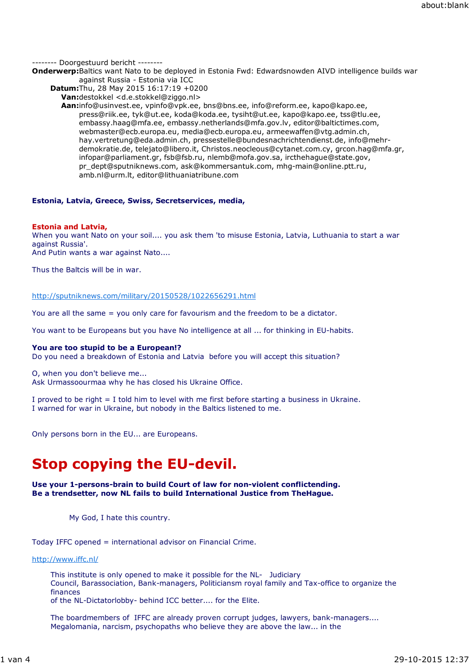-------- Doorgestuurd bericht --------

**Onderwerp:**Baltics want Nato to be deployed in Estonia Fwd: Edwardsnowden AIVD intelligence builds war against Russia - Estonia via ICC

**Datum:**Thu, 28 May 2015 16:17:19 +0200

**Van:**destokkel <d.e.stokkel@ziggo.nl>

**Aan:**info@usinvest.ee, vpinfo@vpk.ee, bns@bns.ee, info@reform.ee, kapo@kapo.ee, press@riik.ee, tyk@ut.ee, koda@koda.ee, tysiht@ut.ee, kapo@kapo.ee, tss@tlu.ee, embassy.haag@mfa.ee, embassy.netherlands@mfa.gov.lv, editor@baltictimes.com, webmaster@ecb.europa.eu, media@ecb.europa.eu, armeewaffen@vtg.admin.ch, hay.vertretung@eda.admin.ch, pressestelle@bundesnachrichtendienst.de, info@mehrdemokratie.de, telejato@libero.it, Christos.neocleous@cytanet.com.cy, grcon.hag@mfa.gr, infopar@parliament.gr, fsb@fsb.ru, nlemb@mofa.gov.sa, ircthehague@state.gov, pr\_dept@sputniknews.com, ask@kommersantuk.com, mhg-main@online.ptt.ru, amb.nl@urm.lt, editor@lithuaniatribune.com

## **Estonia, Latvia, Greece, Swiss, Secretservices, media,**

## **Estonia and Latvia,**

When you want Nato on your soil.... you ask them 'to misuse Estonia, Latvia, Luthuania to start a war against Russia'.

And Putin wants a war against Nato....

Thus the Baltcis will be in war.

## http://sputniknews.com/military/20150528/1022656291.html

You are all the same = you only care for favourism and the freedom to be a dictator.

You want to be Europeans but you have No intelligence at all ... for thinking in EU-habits.

## **You are too stupid to be a European!?**

Do you need a breakdown of Estonia and Latvia before you will accept this situation?

O, when you don't believe me... Ask Urmassoourmaa why he has closed his Ukraine Office.

I proved to be right = I told him to level with me first before starting a business in Ukraine. I warned for war in Ukraine, but nobody in the Baltics listened to me.

Only persons born in the EU... are Europeans.

# **Stop copying the EU-devil.**

## **Use your 1-persons-brain to build Court of law for non-violent conflictending. Be a trendsetter, now NL fails to build International Justice from TheHague.**

My God, I hate this country.

Today IFFC opened = international advisor on Financial Crime.

http://www.iffc.nl/

This institute is only opened to make it possible for the NL- Judiciary Council, Barassociation, Bank-managers, Politiciansm royal family and Tax-office to organize the finances

of the NL-Dictatorlobby- behind ICC better.... for the Elite.

The boardmembers of IFFC are already proven corrupt judges, lawyers, bank-managers.... Megalomania, narcism, psychopaths who believe they are above the law... in the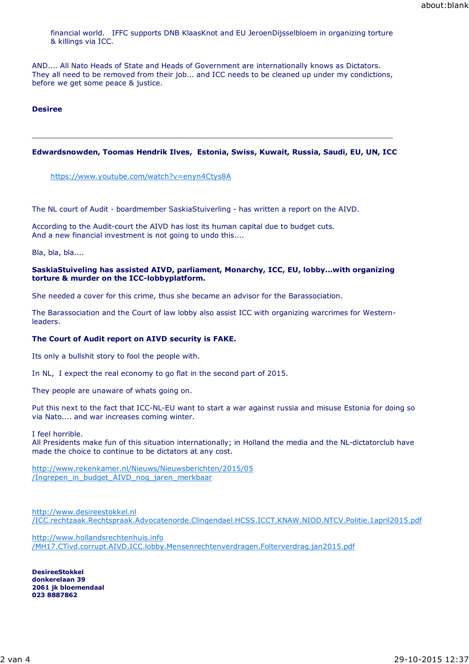financial world. IFFC supports DNB KlaasKnot and EU JeroenDijsselbloem in organizing torture & killings via ICC.

AND.... All Nato Heads of State and Heads of Government are internationally knows as Dictators. They all need to be removed from their job... and ICC needs to be cleaned up under my condictions, before we get some peace & justice.

## **Desiree**

## **Edwardsnowden, Toomas Hendrik Ilves, Estonia, Swiss, Kuwait, Russia, Saudi, EU, UN, ICC**

\_\_\_\_\_\_\_\_\_\_\_\_\_\_\_\_\_\_\_\_\_\_\_\_\_\_\_\_\_\_\_\_\_\_\_\_\_\_\_\_\_\_\_\_\_\_\_\_\_\_\_\_\_\_\_\_\_\_\_\_\_\_\_\_\_\_\_\_\_\_\_\_\_\_\_\_\_\_

https://www.youtube.com/watch?v=enyn4Ctys8A

The NL court of Audit - boardmember SaskiaStuiverling - has written a report on the AIVD.

According to the Audit-court the AIVD has lost its human capital due to budget cuts. And a new financial investment is not going to undo this....

Bla, bla, bla....

#### **SaskiaStuiveling has assisted AIVD, parliament, Monarchy, ICC, EU, lobby...with organizing torture & murder on the ICC-lobbyplatform.**

She needed a cover for this crime, thus she became an advisor for the Barassociation.

The Barassociation and the Court of law lobby also assist ICC with organizing warcrimes for Westernleaders.

## **The Court of Audit report on AIVD security is FAKE.**

Its only a bullshit story to fool the people with.

In NL, I expect the real economy to go flat in the second part of 2015.

They people are unaware of whats going on.

Put this next to the fact that ICC-NL-EU want to start a war against russia and misuse Estonia for doing so via Nato.... and war increases coming winter.

I feel horrible.

All Presidents make fun of this situation internationally; in Holland the media and the NL-dictatorclub have made the choice to continue to be dictators at any cost.

http://www.rekenkamer.nl/Nieuws/Nieuwsberichten/2015/05 /Ingrepen\_in\_budget\_AIVD\_nog\_jaren\_merkbaar

http://www.desireestokkel.nl /ICC.rechtzaak.Rechtspraak.Advocatenorde.Clingendael.HCSS.ICCT.KNAW.NIOD.NTCV.Politie.1april2015.pdf

http://www.hollandsrechtenhuis.info /MH17.CTivd.corrupt.AIVD.ICC.lobby.Mensenrechtenverdragen.Folterverdrag.jan2015.pdf

**DesireeStokkel donkerelaan 39 2061 jk bloemendaal 023 8887862**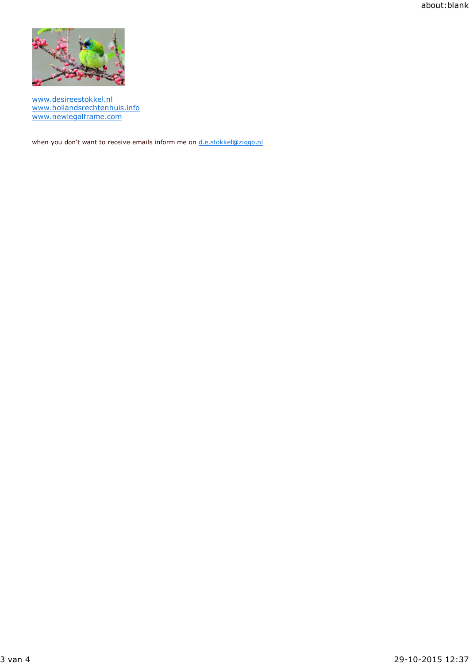about:blank



www.desireestokkel.nl www.hollandsrechtenhuis.info www.newlegalframe.com

when you don't want to receive emails inform me on d.e.stokkel@ziggo.nl